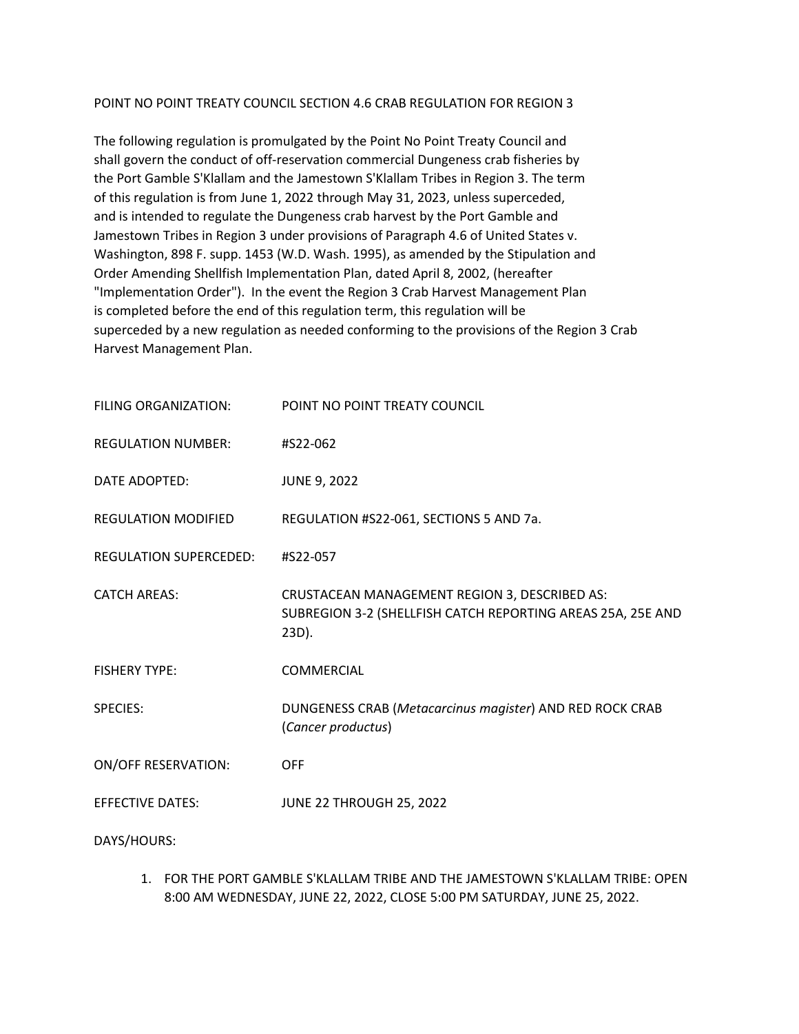### POINT NO POINT TREATY COUNCIL SECTION 4.6 CRAB REGULATION FOR REGION 3

The following regulation is promulgated by the Point No Point Treaty Council and shall govern the conduct of off-reservation commercial Dungeness crab fisheries by the Port Gamble S'Klallam and the Jamestown S'Klallam Tribes in Region 3. The term of this regulation is from June 1, 2022 through May 31, 2023, unless superceded, and is intended to regulate the Dungeness crab harvest by the Port Gamble and Jamestown Tribes in Region 3 under provisions of Paragraph 4.6 of United States v. Washington, 898 F. supp. 1453 (W.D. Wash. 1995), as amended by the Stipulation and Order Amending Shellfish Implementation Plan, dated April 8, 2002, (hereafter "Implementation Order"). In the event the Region 3 Crab Harvest Management Plan is completed before the end of this regulation term, this regulation will be superceded by a new regulation as needed conforming to the provisions of the Region 3 Crab Harvest Management Plan.

| FILING ORGANIZATION:          | POINT NO POINT TREATY COUNCIL                                                                                         |
|-------------------------------|-----------------------------------------------------------------------------------------------------------------------|
| <b>REGULATION NUMBER:</b>     | #S22-062                                                                                                              |
| DATE ADOPTED:                 | <b>JUNE 9, 2022</b>                                                                                                   |
| <b>REGULATION MODIFIED</b>    | REGULATION #S22-061, SECTIONS 5 AND 7a.                                                                               |
| <b>REGULATION SUPERCEDED:</b> | #S22-057                                                                                                              |
| <b>CATCH AREAS:</b>           | CRUSTACEAN MANAGEMENT REGION 3, DESCRIBED AS:<br>SUBREGION 3-2 (SHELLFISH CATCH REPORTING AREAS 25A, 25E AND<br>23D). |
| <b>FISHERY TYPE:</b>          | COMMERCIAL                                                                                                            |
| <b>SPECIES:</b>               | DUNGENESS CRAB (Metacarcinus magister) AND RED ROCK CRAB<br>(Cancer productus)                                        |
| <b>ON/OFF RESERVATION:</b>    | <b>OFF</b>                                                                                                            |
| <b>EFFECTIVE DATES:</b>       | JUNE 22 THROUGH 25, 2022                                                                                              |
| DAYS/HOURS:                   |                                                                                                                       |

1. FOR THE PORT GAMBLE S'KLALLAM TRIBE AND THE JAMESTOWN S'KLALLAM TRIBE: OPEN 8:00 AM WEDNESDAY, JUNE 22, 2022, CLOSE 5:00 PM SATURDAY, JUNE 25, 2022.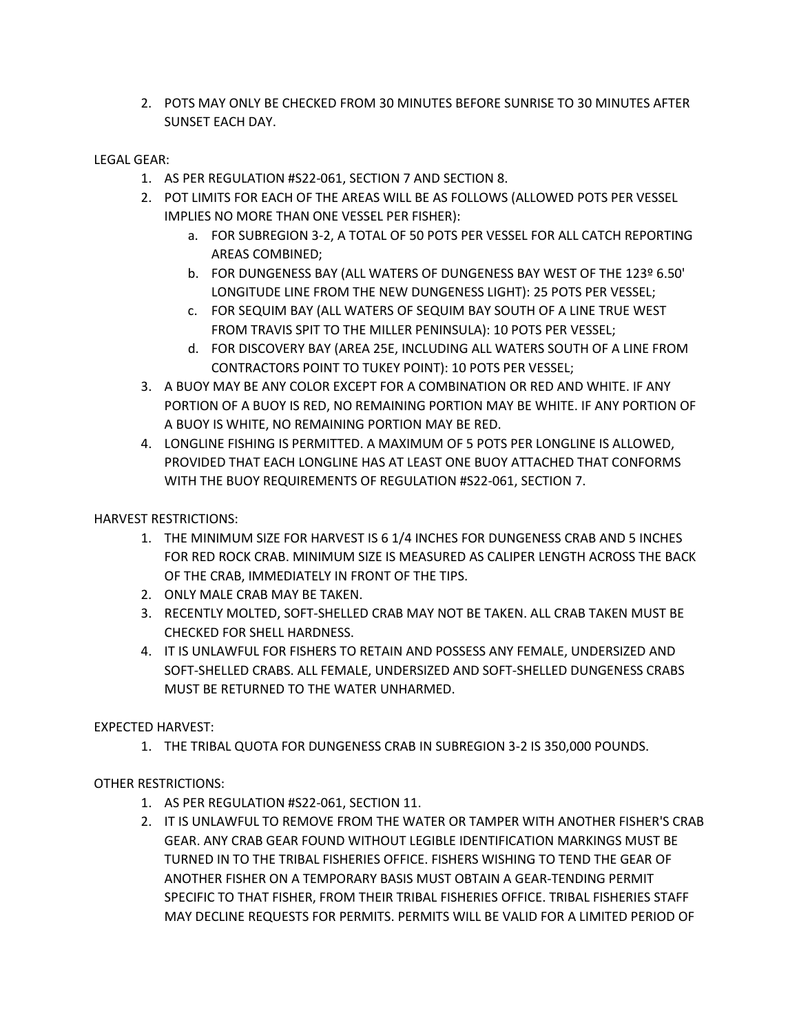2. POTS MAY ONLY BE CHECKED FROM 30 MINUTES BEFORE SUNRISE TO 30 MINUTES AFTER SUNSET EACH DAY.

# LEGAL GEAR:

- 1. AS PER REGULATION #S22-061, SECTION 7 AND SECTION 8.
- 2. POT LIMITS FOR EACH OF THE AREAS WILL BE AS FOLLOWS (ALLOWED POTS PER VESSEL IMPLIES NO MORE THAN ONE VESSEL PER FISHER):
	- a. FOR SUBREGION 3-2, A TOTAL OF 50 POTS PER VESSEL FOR ALL CATCH REPORTING AREAS COMBINED;
	- b. FOR DUNGENESS BAY (ALL WATERS OF DUNGENESS BAY WEST OF THE 123º 6.50' LONGITUDE LINE FROM THE NEW DUNGENESS LIGHT): 25 POTS PER VESSEL;
	- c. FOR SEQUIM BAY (ALL WATERS OF SEQUIM BAY SOUTH OF A LINE TRUE WEST FROM TRAVIS SPIT TO THE MILLER PENINSULA): 10 POTS PER VESSEL;
	- d. FOR DISCOVERY BAY (AREA 25E, INCLUDING ALL WATERS SOUTH OF A LINE FROM CONTRACTORS POINT TO TUKEY POINT): 10 POTS PER VESSEL;
- 3. A BUOY MAY BE ANY COLOR EXCEPT FOR A COMBINATION OR RED AND WHITE. IF ANY PORTION OF A BUOY IS RED, NO REMAINING PORTION MAY BE WHITE. IF ANY PORTION OF A BUOY IS WHITE, NO REMAINING PORTION MAY BE RED.
- 4. LONGLINE FISHING IS PERMITTED. A MAXIMUM OF 5 POTS PER LONGLINE IS ALLOWED, PROVIDED THAT EACH LONGLINE HAS AT LEAST ONE BUOY ATTACHED THAT CONFORMS WITH THE BUOY REQUIREMENTS OF REGULATION #S22-061, SECTION 7.

HARVEST RESTRICTIONS:

- 1. THE MINIMUM SIZE FOR HARVEST IS 6 1/4 INCHES FOR DUNGENESS CRAB AND 5 INCHES FOR RED ROCK CRAB. MINIMUM SIZE IS MEASURED AS CALIPER LENGTH ACROSS THE BACK OF THE CRAB, IMMEDIATELY IN FRONT OF THE TIPS.
- 2. ONLY MALE CRAB MAY BE TAKEN.
- 3. RECENTLY MOLTED, SOFT-SHELLED CRAB MAY NOT BE TAKEN. ALL CRAB TAKEN MUST BE CHECKED FOR SHELL HARDNESS.
- 4. IT IS UNLAWFUL FOR FISHERS TO RETAIN AND POSSESS ANY FEMALE, UNDERSIZED AND SOFT-SHELLED CRABS. ALL FEMALE, UNDERSIZED AND SOFT-SHELLED DUNGENESS CRABS MUST BE RETURNED TO THE WATER UNHARMED.

EXPECTED HARVEST:

1. THE TRIBAL QUOTA FOR DUNGENESS CRAB IN SUBREGION 3-2 IS 350,000 POUNDS.

OTHER RESTRICTIONS:

- 1. AS PER REGULATION #S22-061, SECTION 11.
- 2. IT IS UNLAWFUL TO REMOVE FROM THE WATER OR TAMPER WITH ANOTHER FISHER'S CRAB GEAR. ANY CRAB GEAR FOUND WITHOUT LEGIBLE IDENTIFICATION MARKINGS MUST BE TURNED IN TO THE TRIBAL FISHERIES OFFICE. FISHERS WISHING TO TEND THE GEAR OF ANOTHER FISHER ON A TEMPORARY BASIS MUST OBTAIN A GEAR-TENDING PERMIT SPECIFIC TO THAT FISHER, FROM THEIR TRIBAL FISHERIES OFFICE. TRIBAL FISHERIES STAFF MAY DECLINE REQUESTS FOR PERMITS. PERMITS WILL BE VALID FOR A LIMITED PERIOD OF